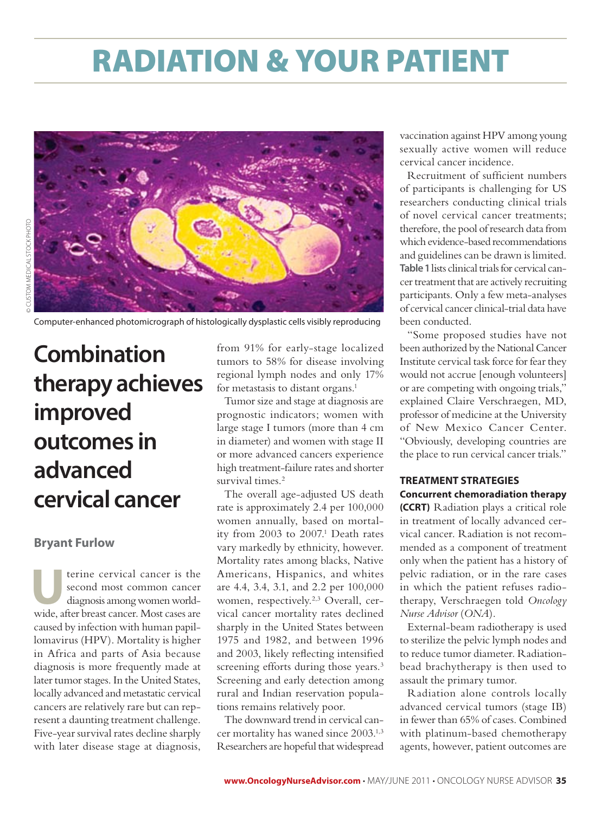# radiation & your patient



Computer-enhanced photomicrograph of histologically dysplastic cells visibly reproducing

## **Combination therapy achieves improved outcomes in advanced cervical cancer**

#### **Bryant Furlow**

terine cervical cancer is the<br>second most common cancer<br>diagnosis among women world-<br>wide ofter breast cancer. Most cases are second most common cancer diagnosis among women worldwide, after breast cancer. Most cases are caused by infection with human papillomavirus (HPV). Mortality is higher in Africa and parts of Asia because diagnosis is more frequently made at later tumor stages. In the United States, locally advanced and metastatic cervical cancers are relatively rare but can represent a daunting treatment challenge. Five-year survival rates decline sharply with later disease stage at diagnosis,

from 91% for early-stage localized tumors to 58% for disease involving regional lymph nodes and only 17% for metastasis to distant organs.<sup>1</sup>

Tumor size and stage at diagnosis are prognostic indicators; women with large stage I tumors (more than 4 cm in diameter) and women with stage II or more advanced cancers experience high treatment-failure rates and shorter survival times.<sup>2</sup>

The overall age-adjusted US death rate is approximately 2.4 per 100,000 women annually, based on mortality from 2003 to 2007.<sup>1</sup> Death rates vary markedly by ethnicity, however. Mortality rates among blacks, Native Americans, Hispanics, and whites are 4.4, 3.4, 3.1, and 2.2 per 100,000 women, respectively.<sup>2,3</sup> Overall, cervical cancer mortality rates declined sharply in the United States between 1975 and 1982, and between 1996 and 2003, likely reflecting intensified screening efforts during those years.<sup>3</sup> Screening and early detection among rural and Indian reservation populations remains relatively poor.

The downward trend in cervical cancer mortality has waned since 2003.1,3 Researchers are hopeful that widespread

vaccination against HPV among young sexually active women will reduce cervical cancer incidence.

Recruitment of sufficient numbers of participants is challenging for US researchers conducting clinical trials of novel cervical cancer treatments; therefore, the pool of research data from which evidence-based recommendations and guidelines can be drawn is limited. **Table 1** lists clinical trials for cervical cancer treatment that are actively recruiting participants. Only a few meta-analyses of cervical cancer clinical-trial data have been conducted.

"Some proposed studies have not been authorized by the National Cancer Institute cervical task force for fear they would not accrue [enough volunteers] or are competing with ongoing trials," explained Claire Verschraegen, MD, professor of medicine at the University of New Mexico Cancer Center. "Obviously, developing countries are the place to run cervical cancer trials."

#### **TREATMENT STRATEGIES Concurrent chemoradiation therapy**

**(CCRT)** Radiation plays a critical role in treatment of locally advanced cervical cancer. Radiation is not recommended as a component of treatment only when the patient has a history of pelvic radiation, or in the rare cases in which the patient refuses radiotherapy, Verschraegen told *Oncology Nurse Advisor* (*ONA*).

External-beam radiotherapy is used to sterilize the pelvic lymph nodes and to reduce tumor diameter. Radiationbead brachytherapy is then used to assault the primary tumor.

Radiation alone controls locally advanced cervical tumors (stage IB) in fewer than 65% of cases. Combined with platinum-based chemotherapy agents, however, patient outcomes are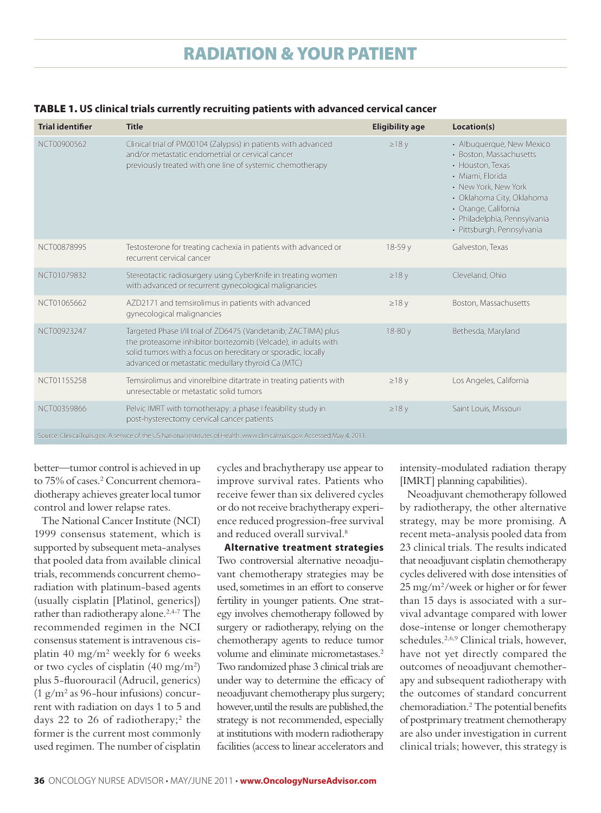### radiation & your patient

#### TABLE 1. **US clinical trials currently recruiting patients with advanced cervical cancer**

| <b>Trial identifier</b>                                                                                                      | <b>Title</b>                                                                                                                                                                                                                                         | <b>Eligibility age</b> | Location(s)                                                                                                                                                                                                                             |
|------------------------------------------------------------------------------------------------------------------------------|------------------------------------------------------------------------------------------------------------------------------------------------------------------------------------------------------------------------------------------------------|------------------------|-----------------------------------------------------------------------------------------------------------------------------------------------------------------------------------------------------------------------------------------|
| NCT00900562                                                                                                                  | Clinical trial of PM00104 (Zalypsis) in patients with advanced<br>and/or metastatic endometrial or cervical cancer<br>previously treated with one line of systemic chemotherapy                                                                      | $\geq$ 18 y            | • Albuquerque, New Mexico<br>• Boston, Massachusetts<br>• Houston, Texas<br>· Miami, Florida<br>• New York, New York<br>· Oklahoma City, Oklahoma<br>· Orange, California<br>· Philadelphia, Pennsylvania<br>· Pittsburgh, Pennsylvania |
| NCT00878995                                                                                                                  | Testosterone for treating cachexia in patients with advanced or<br>recurrent cervical cancer                                                                                                                                                         | $18-59y$               | Galveston, Texas                                                                                                                                                                                                                        |
| NCT01079832                                                                                                                  | Stereotactic radiosurgery using CyberKnife in treating women<br>with advanced or recurrent gynecological malignancies                                                                                                                                | $\geq$ 18 y            | Cleveland, Ohio                                                                                                                                                                                                                         |
| NCT01065662                                                                                                                  | AZD2171 and temsirolimus in patients with advanced<br>gynecological malignancies                                                                                                                                                                     | $\geq$ 18 y            | Boston, Massachusetts                                                                                                                                                                                                                   |
| NCT00923247                                                                                                                  | Targeted Phase I/II trial of ZD6475 (Vandetanib; ZACTIMA) plus<br>the proteasome inhibitor bortezomib (Velcade), in adults with<br>solid tumors with a focus on hereditary or sporadic, locally<br>advanced or metastatic medullary thyroid Ca (MTC) | 18-80 y                | Bethesda, Maryland                                                                                                                                                                                                                      |
| NCT01155258                                                                                                                  | Temsirolimus and vinorelbine ditartrate in treating patients with<br>unresectable or metastatic solid tumors                                                                                                                                         | $\geq$ 18 y            | Los Angeles, California                                                                                                                                                                                                                 |
| NCT00359866                                                                                                                  | Pelvic IMRT with tomotherapy: a phase I feasibility study in<br>post-hysterectomy cervical cancer patients                                                                                                                                           | $\geq$ 18 y            | Saint Louis, Missouri                                                                                                                                                                                                                   |
| Source: ClinicalTrials.gov. A service of the US National Institutes of Health. www.clinicaltrials.gov. Accessed May 4, 2011. |                                                                                                                                                                                                                                                      |                        |                                                                                                                                                                                                                                         |

better—tumor control is achieved in up to 75% of cases.<sup>2</sup> Concurrent chemoradiotherapy achieves greater local tumor control and lower relapse rates.

The National Cancer Institute (NCI) 1999 consensus statement, which is supported by subsequent meta-analyses that pooled data from available clinical trials, recommends concurrent chemoradiation with platinum-based agents (usually cisplatin [Platinol, generics]) rather than radiotherapy alone.<sup>2,4-7</sup> The recommended regimen in the NCI consensus statement is intravenous cisplatin 40 mg/m2 weekly for 6 weeks or two cycles of cisplatin (40 mg/m2) plus 5-fluorouracil (Adrucil, generics) (1 g/m2 as 96-hour infusions) concurrent with radiation on days 1 to 5 and days 22 to 26 of radiotherapy;<sup>2</sup> the former is the current most commonly used regimen. The number of cisplatin

cycles and brachytherapy use appear to improve survival rates. Patients who receive fewer than six delivered cycles or do not receive brachytherapy experience reduced progression-free survival and reduced overall survival.8

**Alternative treatment strategies** Two controversial alternative neoadjuvant chemotherapy strategies may be used, sometimes in an effort to conserve fertility in younger patients. One strategy involves chemotherapy followed by surgery or radiotherapy, relying on the chemotherapy agents to reduce tumor volume and eliminate micrometastases.2 Two randomized phase 3 clinical trials are under way to determine the efficacy of neoadjuvant chemotherapy plus surgery; however, until the results are published, the strategy is not recommended, especially at institutions with modern radiotherapy facilities (access to linear accelerators and

intensity-modulated radiation therapy [IMRT] planning capabilities).

Neoadjuvant chemotherapy followed by radiotherapy, the other alternative strategy, may be more promising. A recent meta-analysis pooled data from 23 clinical trials. The results indicated that neoadjuvant cisplatin chemotherapy cycles delivered with dose intensities of 25 mg/m2 /week or higher or for fewer than 15 days is associated with a survival advantage compared with lower dose-intense or longer chemotherapy schedules.2,6,9 Clinical trials, however, have not yet directly compared the outcomes of neoadjuvant chemotherapy and subsequent radiotherapy with the outcomes of standard concurrent chemoradiation.2 The potential benefits of postprimary treatment chemotherapy are also under investigation in current clinical trials; however, this strategy is